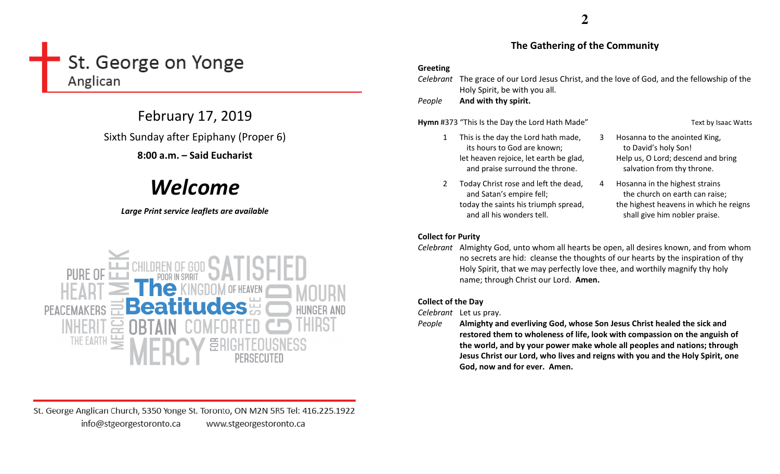# St. George on Yonge Anglican

February 17, 2019

Sixth Sunday after Epiphany (Proper 6)

## 8:00 a.m. – Said Eucharist

# Welcome

## Large Print service leaflets are available



St. George Anglican Church, 5350 Yonge St. Toronto, ON M2N 5R5 Tel: 416.225.1922 info@stgeorgestoronto.ca www.stgeorgestoronto.ca

## The Gathering of the Community

### Greeting

Celebrant The grace of our Lord Jesus Christ, and the love of God, and the fellowship of the Holy Spirit, be with you all.

PeopleAnd with thy spirit.

Hymn #373 "This Is the Day the Lord Hath Made" Text by Isaac Watts

- 1 This is the day the Lord hath made, its hours to God are known; let heaven rejoice, let earth be glad, and praise surround the throne.
- 2 Today Christ rose and left the dead, and Satan's empire fell; today the saints his triumph spread, and all his wonders tell.
- 3 Hosanna to the anointed King, to David's holy Son! Help us, O Lord; descend and bring salvation from thy throne.
- 4 Hosanna in the highest strains the church on earth can raise; the highest heavens in which he reigns shall give him nobler praise.

## Collect for Purity

Celebrant Almighty God, unto whom all hearts be open, all desires known, and from whom no secrets are hid: cleanse the thoughts of our hearts by the inspiration of thy Holy Spirit, that we may perfectly love thee, and worthily magnify thy holy name; through Christ our Lord. Amen.

## Collect of the Day

Celebrant Let us pray.

People Almighty and everliving God, whose Son Jesus Christ healed the sick and restored them to wholeness of life, look with compassion on the anguish of the world, and by your power make whole all peoples and nations; through Jesus Christ our Lord, who lives and reigns with you and the Holy Spirit, one God, now and for ever. Amen.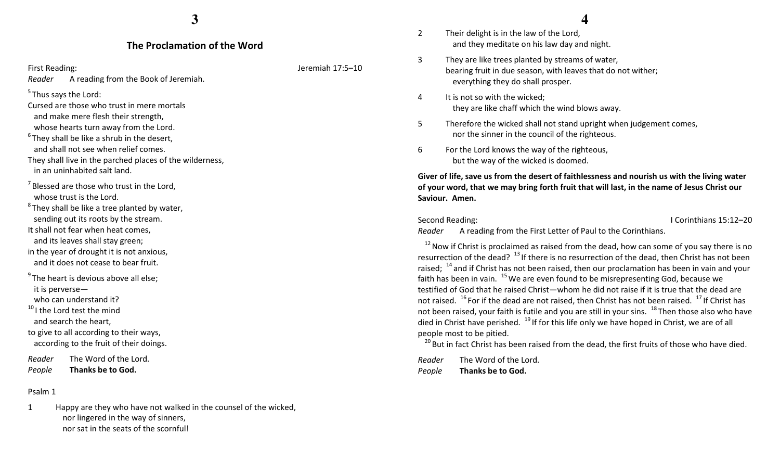#### The Proclamation of the Word

First Reading: Jeremiah 17:5–10

Reader A reading from the Book of Jeremiah.

 $<sup>5</sup>$  Thus says the Lord:</sup>

Cursed are those who trust in mere mortals and make mere flesh their strength,

whose hearts turn away from the Lord.

 $6$ They shall be like a shrub in the desert,

and shall not see when relief comes.

They shall live in the parched places of the wilderness, in an uninhabited salt land.

 $<sup>7</sup>$  Blessed are those who trust in the Lord,</sup> whose trust is the Lord.

 $^8$ They shall be like a tree planted by water, sending out its roots by the stream. It shall not fear when heat comes,

and its leaves shall stay green;

in the year of drought it is not anxious, and it does not cease to bear fruit.

 $9^9$ The heart is devious above all else: it is perverse—

who can understand it?

 $^{10}$ I the Lord test the mind and search the heart,

to give to all according to their ways, according to the fruit of their doings.

Reader The Word of the Lord. PeopleThanks be to God.

#### Psalm 1

1 Happy are they who have not walked in the counsel of the wicked, nor lingered in the way of sinners, nor sat in the seats of the scornful!

## **4**

- 2 Their delight is in the law of the Lord, and they meditate on his law day and night.
- 3 They are like trees planted by streams of water, bearing fruit in due season, with leaves that do not wither; everything they do shall prosper.
- 4 It is not so with the wicked; they are like chaff which the wind blows away.
- 5 Therefore the wicked shall not stand upright when judgement comes, nor the sinner in the council of the righteous.
- 6 For the Lord knows the way of the righteous, but the way of the wicked is doomed.

Giver of life, save us from the desert of faithlessness and nourish us with the living water of your word, that we may bring forth fruit that will last, in the name of Jesus Christ our Saviour. Amen.

Second Reading: I Corinthians 15:12–20

Reader A reading from the First Letter of Paul to the Corinthians.

 $12$  Now if Christ is proclaimed as raised from the dead, how can some of you say there is no resurrection of the dead?  $13$  If there is no resurrection of the dead, then Christ has not been raised;  $^{14}$  and if Christ has not been raised, then our proclamation has been in vain and your faith has been in vain.  $^{15}$  We are even found to be misrepresenting God, because we testified of God that he raised Christ—whom he did not raise if it is true that the dead are not raised.  $^{16}$  For if the dead are not raised, then Christ has not been raised.  $^{17}$  If Christ has not been raised, your faith is futile and you are still in your sins.  $^{18}$  Then those also who have died in Christ have perished.  $19$  If for this life only we have hoped in Christ, we are of all people most to be pitied.

 $^{20}$  But in fact Christ has been raised from the dead, the first fruits of those who have died.

Reader The Word of the Lord. PeopleThanks be to God.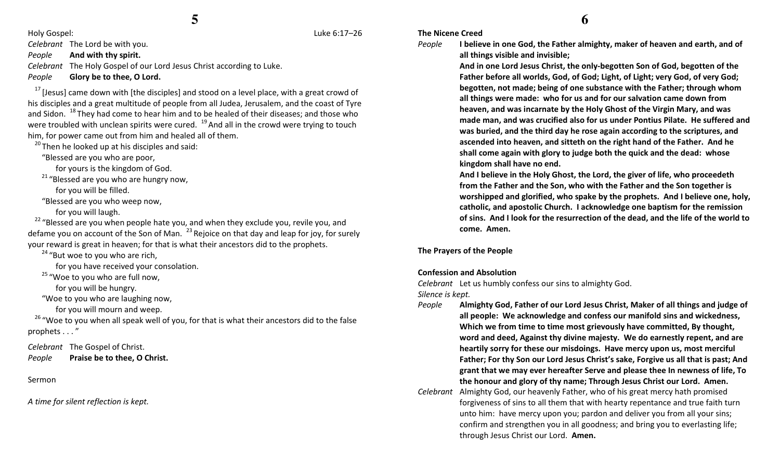Holy Gospel: Luke 6:17–26

Celebrant The Lord be with you.

PeopleAnd with thy spirit.

Celebrant The Holy Gospel of our Lord Jesus Christ according to Luke.

PeopleGlory be to thee, O Lord.

 $17$  [Jesus] came down with [the disciples] and stood on a level place, with a great crowd of his disciples and a great multitude of people from all Judea, Jerusalem, and the coast of Tyre and Sidon. <sup>18</sup>They had come to hear him and to be healed of their diseases; and those who were troubled with unclean spirits were cured.  $19$  And all in the crowd were trying to touch him, for power came out from him and healed all of them.

 $20$  Then he looked up at his disciples and said:

"Blessed are you who are poor,

for yours is the kingdom of God.

 $21$  "Blessed are you who are hungry now,

for you will be filled.

"Blessed are you who weep now,

for you will laugh.

 $22$  "Blessed are you when people hate you, and when they exclude you, revile you, and defame you on account of the Son of Man.  $^{23}$  Rejoice on that day and leap for joy, for surely your reward is great in heaven; for that is what their ancestors did to the prophets.

 $24$  "But woe to you who are rich,

for you have received your consolation.

<sup>25</sup> "Woe to you who are full now,

for you will be hungry.

"Woe to you who are laughing now,

for you will mourn and weep.

 $^{26}$  "Woe to you when all speak well of you, for that is what their ancestors did to the false prophets . . . "

Celebrant The Gospel of Christ. PeoplePraise be to thee, O Christ.

Sermon

A time for silent reflection is kept.

## The Nicene Creed

People

 I believe in one God, the Father almighty, maker of heaven and earth, and of all things visible and invisible;

And in one Lord Jesus Christ, the only-begotten Son of God, begotten of the Father before all worlds, God, of God; Light, of Light; very God, of very God; begotten, not made; being of one substance with the Father; through whom all things were made: who for us and for our salvation came down from heaven, and was incarnate by the Holy Ghost of the Virgin Mary, and was made man, and was crucified also for us under Pontius Pilate. He suffered and was buried, and the third day he rose again according to the scriptures, and ascended into heaven, and sitteth on the right hand of the Father. And he shall come again with glory to judge both the quick and the dead: whose kingdom shall have no end.

And I believe in the Holy Ghost, the Lord, the giver of life, who proceedeth from the Father and the Son, who with the Father and the Son together is worshipped and glorified, who spake by the prophets. And I believe one, holy, catholic, and apostolic Church. I acknowledge one baptism for the remission of sins. And I look for the resurrection of the dead, and the life of the world to come. Amen.

The Prayers of the People

## Confession and Absolution

Celebrant Let us humbly confess our sins to almighty God.

Silence is kept.

- People Almighty God, Father of our Lord Jesus Christ, Maker of all things and judge of all people: We acknowledge and confess our manifold sins and wickedness, Which we from time to time most grievously have committed, By thought, word and deed, Against thy divine majesty. We do earnestly repent, and are heartily sorry for these our misdoings. Have mercy upon us, most merciful Father; For thy Son our Lord Jesus Christ's sake, Forgive us all that is past; And grant that we may ever hereafter Serve and please thee In newness of life, To the honour and glory of thy name; Through Jesus Christ our Lord. Amen.
- Celebrant Almighty God, our heavenly Father, who of his great mercy hath promised forgiveness of sins to all them that with hearty repentance and true faith turn unto him: have mercy upon you; pardon and deliver you from all your sins; confirm and strengthen you in all goodness; and bring you to everlasting life; through Jesus Christ our Lord. Amen.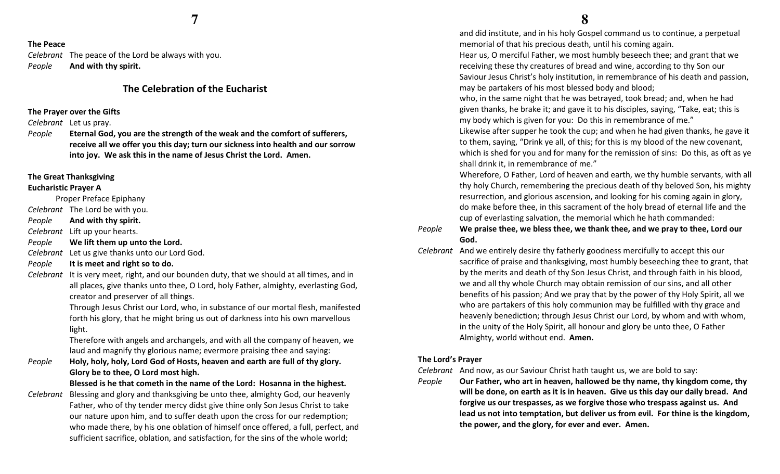#### The Peace

Celebrant The peace of the Lord be always with you. PeopleAnd with thy spirit.

## The Celebration of the Eucharist

#### The Prayer over the Gifts

Celebrant Let us pray.

People Eternal God, you are the strength of the weak and the comfort of sufferers, receive all we offer you this day; turn our sickness into health and our sorrow into joy. We ask this in the name of Jesus Christ the Lord. Amen.

#### The Great Thanksgiving

#### Eucharistic Prayer A

Proper Preface Epiphany

Celebrant The Lord be with you.

PeopleAnd with thy spirit.

Celebrant Lift up your hearts.

PeopleWe lift them up unto the Lord.

Celebrant Let us give thanks unto our Lord God.

PeopleIt is meet and right so to do.

Celebrant It is very meet, right, and our bounden duty, that we should at all times, and in all places, give thanks unto thee, O Lord, holy Father, almighty, everlasting God, creator and preserver of all things.

> Through Jesus Christ our Lord, who, in substance of our mortal flesh, manifested forth his glory, that he might bring us out of darkness into his own marvellous light.

Therefore with angels and archangels, and with all the company of heaven, we laud and magnify thy glorious name; evermore praising thee and saying:

People Holy, holy, holy, Lord God of Hosts, heaven and earth are full of thy glory. Glory be to thee, O Lord most high.

Blessed is he that cometh in the name of the Lord: Hosanna in the highest.

Celebrant Blessing and glory and thanksgiving be unto thee, almighty God, our heavenly Father, who of thy tender mercy didst give thine only Son Jesus Christ to take our nature upon him, and to suffer death upon the cross for our redemption; who made there, by his one oblation of himself once offered, a full, perfect, and sufficient sacrifice, oblation, and satisfaction, for the sins of the whole world;

 and did institute, and in his holy Gospel command us to continue, a perpetual memorial of that his precious death, until his coming again.

Hear us, O merciful Father, we most humbly beseech thee; and grant that we receiving these thy creatures of bread and wine, according to thy Son our Saviour Jesus Christ's holy institution, in remembrance of his death and passion, may be partakers of his most blessed body and blood;

who, in the same night that he was betrayed, took bread; and, when he had given thanks, he brake it; and gave it to his disciples, saying, "Take, eat; this is my body which is given for you: Do this in remembrance of me."

Likewise after supper he took the cup; and when he had given thanks, he gave it to them, saying, "Drink ye all, of this; for this is my blood of the new covenant, which is shed for you and for many for the remission of sins: Do this, as oft as ye shall drink it, in remembrance of me."

Wherefore, O Father, Lord of heaven and earth, we thy humble servants, with all thy holy Church, remembering the precious death of thy beloved Son, his mighty resurrection, and glorious ascension, and looking for his coming again in glory, do make before thee, in this sacrament of the holy bread of eternal life and the cup of everlasting salvation, the memorial which he hath commanded:

#### People We praise thee, we bless thee, we thank thee, and we pray to thee, Lord our God.

Celebrant And we entirely desire thy fatherly goodness mercifully to accept this our sacrifice of praise and thanksgiving, most humbly beseeching thee to grant, that by the merits and death of thy Son Jesus Christ, and through faith in his blood, we and all thy whole Church may obtain remission of our sins, and all other benefits of his passion; And we pray that by the power of thy Holy Spirit, all we who are partakers of this holy communion may be fulfilled with thy grace and heavenly benediction; through Jesus Christ our Lord, by whom and with whom, in the unity of the Holy Spirit, all honour and glory be unto thee, O Father Almighty, world without end. Amen.

#### The Lord's Prayer

Celebrant And now, as our Saviour Christ hath taught us, we are bold to say:

People Our Father, who art in heaven, hallowed be thy name, thy kingdom come, thy will be done, on earth as it is in heaven. Give us this day our daily bread. And forgive us our trespasses, as we forgive those who trespass against us. And lead us not into temptation, but deliver us from evil. For thine is the kingdom, the power, and the glory, for ever and ever. Amen.